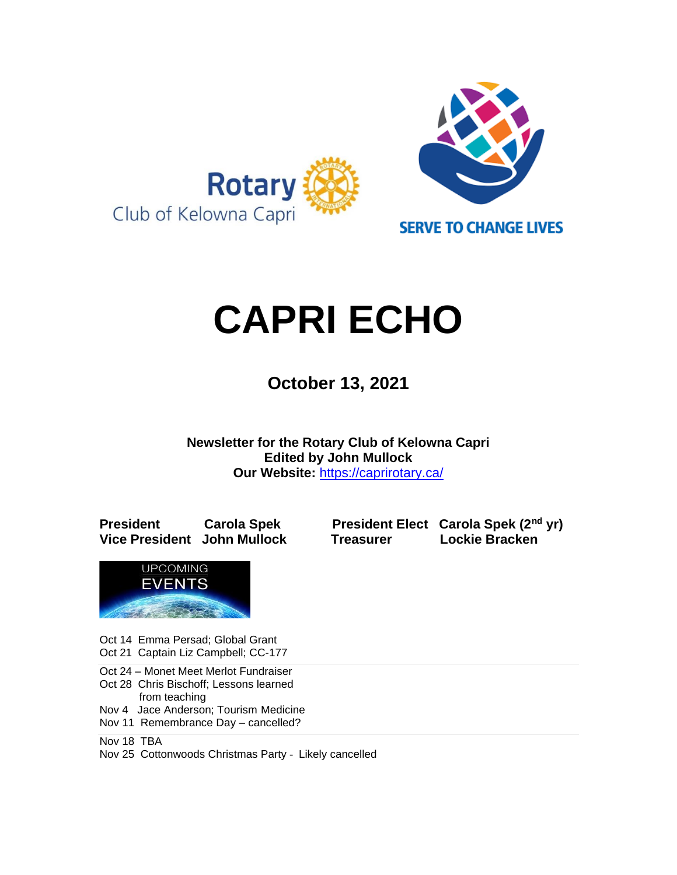

# **CAPRI ECHO**

 **October 13, <sup>2021</sup>**

**Newsletter for the Rotary Club of Kelowna Capri Edited by John Mullock Our Website:** <https://caprirotary.ca/>

**President Carola Spek President Elect Carola Spek (2nd yr) Vice President John Mullock Treasurer Lockie Bracken**



Oct 14 Emma Persad; Global Grant Oct 21 Captain Liz Campbell; CC-177

Oct 24 – Monet Meet Merlot Fundraiser

Oct 28 Chris Bischoff; Lessons learned

 from teaching Nov 4 Jace Anderson; Tourism Medicine

Nov 11 Remembrance Day – cancelled?

Nov 18 TBA

Nov 25 Cottonwoods Christmas Party - Likely cancelled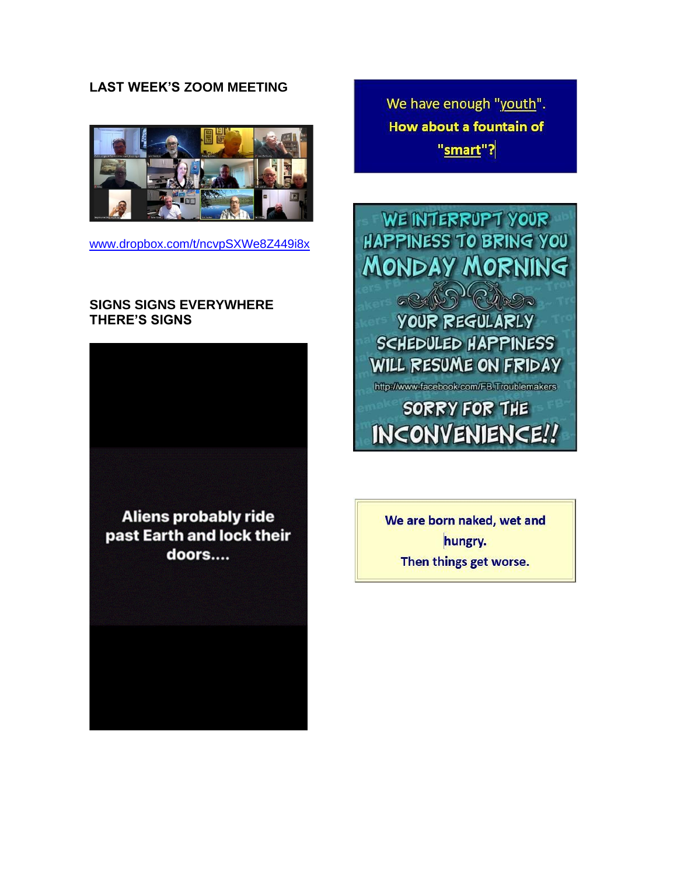#### **LAST WEEK'S ZOOM MEETING**



[www.dropbox.com/t/ncvpSXWe8Z449i8x](https://www.dropbox.com/t/ncvpSXWe8Z449i8x)

#### **SIGNS SIGNS EVERYWHERE THERE'S SIGNS**



We have enough "youth". **How about a fountain of** "smart"?



We are born naked, wet and hungry. Then things get worse.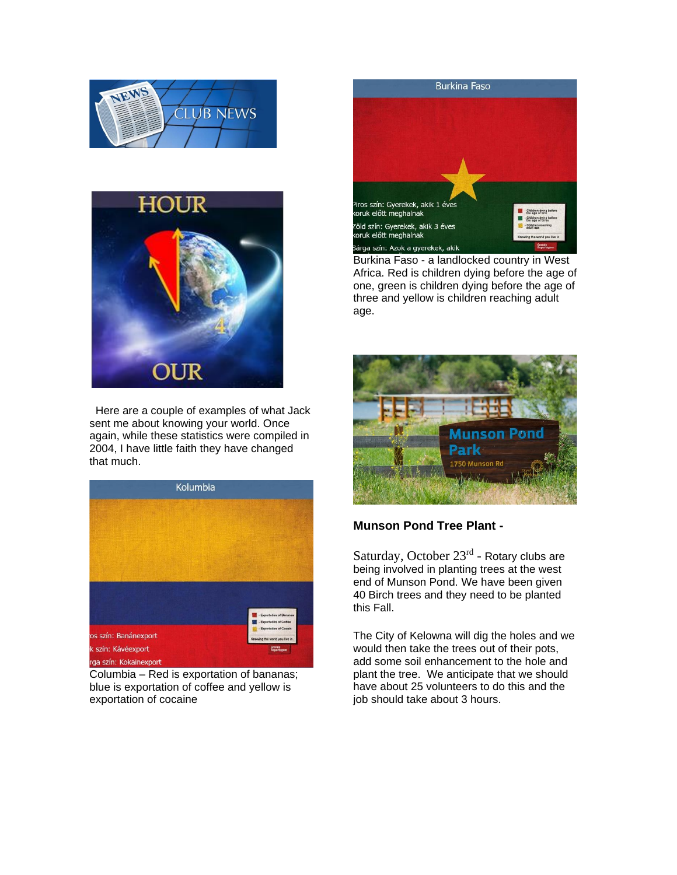



Here are a couple of examples of what Jack sent me about knowing your world. Once again, while these statistics were compiled in 2004, I have little faith they have changed that much.



Columbia – Red is exportation of bananas; blue is exportation of coffee and yellow is exportation of cocaine

## **Burkina Faso** <sup>9</sup>iros szín: Gyerekek, akik 1 éves<br>koruk előtt meghalnak - Children dying befor Children dying before .<br>Zöld szín: Gyerekek, akik 3 éves<br>koruk előtt meghalnak Children reaching Sárga szín: Azok a gyerekek, akik

Burkina Faso - a landlocked country in West Africa. Red is children dying before the age of one, green is children dying before the age of three and yellow is children reaching adult age.



#### **Munson Pond Tree Plant -**

Saturday, October 23<sup>rd</sup> - Rotary clubs are being involved in planting trees at the west end of Munson Pond. We have been given 40 Birch trees and they need to be planted this Fall.

The City of Kelowna will dig the holes and we would then take the trees out of their pots, add some soil enhancement to the hole and plant the tree. We anticipate that we should have about 25 volunteers to do this and the job should take about 3 hours.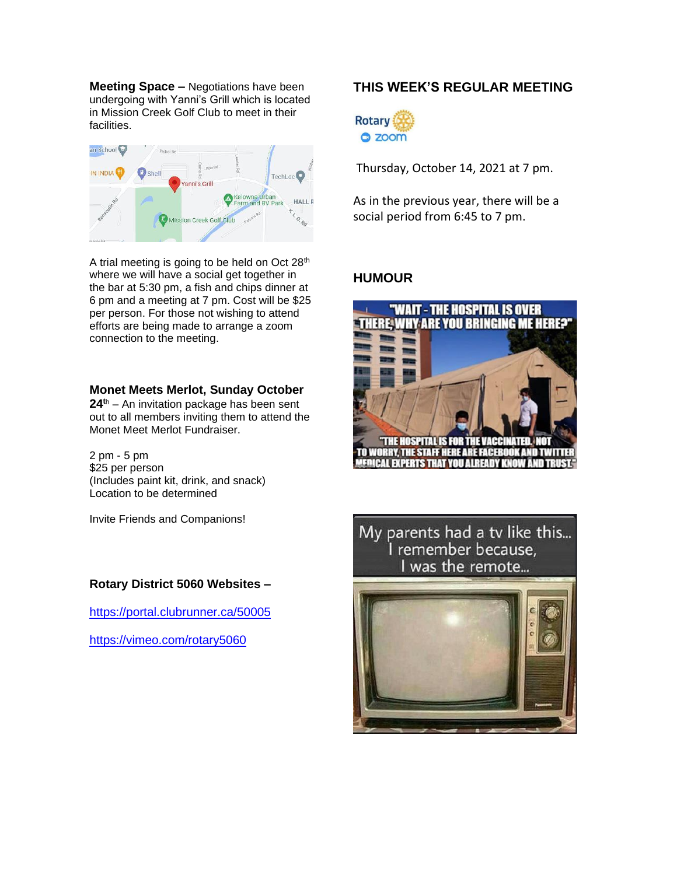**Meeting Space –** Negotiations have been undergoing with Yanni's Grill which is located in Mission Creek Golf Club to meet in their facilities.



A trial meeting is going to be held on Oct 28<sup>th</sup> where we will have a social get together in the bar at 5:30 pm, a fish and chips dinner at 6 pm and a meeting at 7 pm. Cost will be \$25 per person. For those not wishing to attend efforts are being made to arrange a zoom connection to the meeting.

#### **Monet Meets Merlot, Sunday October**

**24<sup>t</sup>**<sup>h</sup> – An invitation package has been sent out to all members inviting them to attend the Monet Meet Merlot Fundraiser.

2 pm - 5 pm \$25 per person (Includes paint kit, drink, and snack) Location to be determined

Invite Friends and Companions!

#### **Rotary District 5060 Websites –**

<https://portal.clubrunner.ca/50005>

<https://vimeo.com/rotary5060>

### **THIS WEEK'S REGULAR MEETING**



Thursday, October 14, 2021 at 7 pm.

As in the previous year, there will be a social period from 6:45 to 7 pm.

#### **HUMOUR**



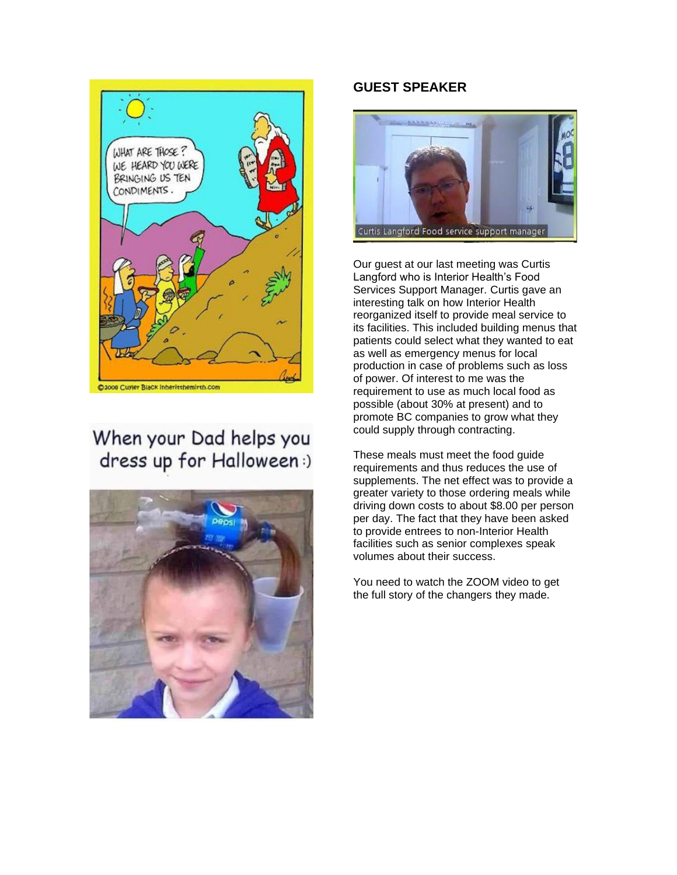

## When your Dad helps you dress up for Halloween:)



#### **GUEST SPEAKER**



Our guest at our last meeting was Curtis Langford who is Interior Health's Food Services Support Manager. Curtis gave an interesting talk on how Interior Health reorganized itself to provide meal service to its facilities. This included building menus that patients could select what they wanted to eat as well as emergency menus for local production in case of problems such as loss of power. Of interest to me was the requirement to use as much local food as possible (about 30% at present) and to promote BC companies to grow what they could supply through contracting.

These meals must meet the food guide requirements and thus reduces the use of supplements. The net effect was to provide a greater variety to those ordering meals while driving down costs to about \$8.00 per person per day. The fact that they have been asked to provide entrees to non-Interior Health facilities such as senior complexes speak volumes about their success.

You need to watch the ZOOM video to get the full story of the changers they made.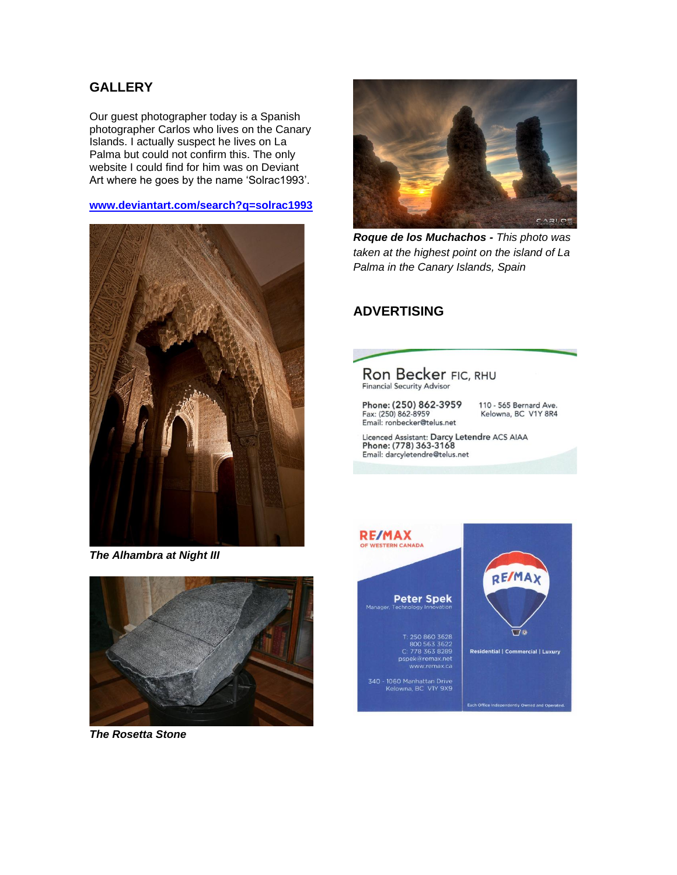#### **GALLERY**

Our guest photographer today is a Spanish photographer Carlos who lives on the Canary Islands. I actually suspect he lives on La Palma but could not confirm this. The only website I could find for him was on Deviant Art where he goes by the name 'Solrac1993'.

#### **[www.deviantart.com/search?q=solrac1993](http://www.deviantart.com/search?q=solrac1993)**



*The Alhambra at Night III* 



*The Rosetta Stone*



*Roque de los Muchachos - This photo was taken at the highest point on the island of La Palma in the Canary Islands, Spain*

#### **ADVERTISING**



Fax: (250) 862-8959 Email: ronbecker@telus.net 110 - 565 Bernard Ave. Kelowna, BC V1Y 8R4

Licenced Assistant: Darcy Letendre ACS AIAA<br>Phone: (778) 363-3168 Email: darcyletendre@telus.net